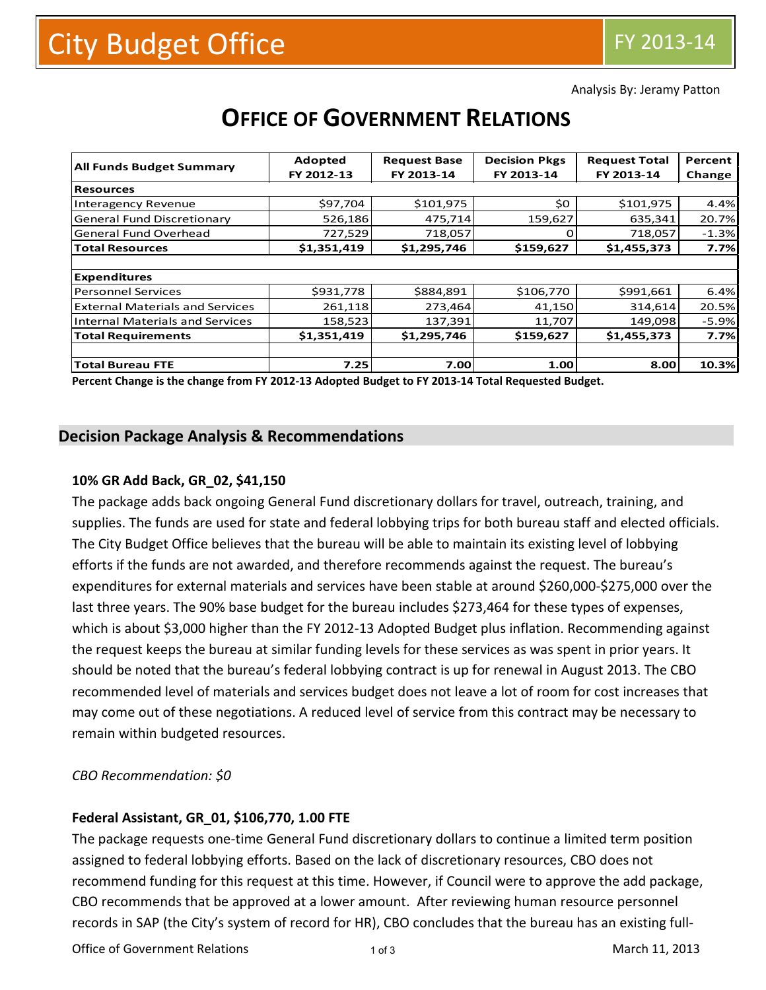Analysis By: Jeramy Patton

| <b>All Funds Budget Summary</b>        | Adopted     | <b>Request Base</b> | <b>Decision Pkgs</b> | <b>Request Total</b> | Percent |  |
|----------------------------------------|-------------|---------------------|----------------------|----------------------|---------|--|
|                                        | FY 2012-13  | FY 2013-14          | FY 2013-14           | FY 2013-14           | Change  |  |
| <b>Resources</b>                       |             |                     |                      |                      |         |  |
| <b>Interagency Revenue</b>             | \$97,704    | \$101,975           | \$0                  | \$101,975            | 4.4%    |  |
| <b>General Fund Discretionary</b>      | 526,186     | 475,714             | 159,627              | 635,341              | 20.7%   |  |
| General Fund Overhead                  | 727,529     | 718,057             | 0                    | 718,057              | $-1.3%$ |  |
| <b>Total Resources</b>                 | \$1,351,419 | \$1,295,746         | \$159,627            | \$1,455,373          | 7.7%    |  |
|                                        |             |                     |                      |                      |         |  |
| <b>Expenditures</b>                    |             |                     |                      |                      |         |  |
| <b>Personnel Services</b>              | \$931,778   | \$884,891           | \$106,770            | \$991,661            | 6.4%    |  |
| <b>External Materials and Services</b> | 261,118     | 273,464             | 41,150               | 314,614              | 20.5%   |  |
| <b>Internal Materials and Services</b> | 158,523     | 137,391             | 11,707               | 149,098              | $-5.9%$ |  |
| <b>Total Requirements</b>              | \$1,351,419 | \$1,295,746         | \$159,627            | \$1,455,373          | 7.7%    |  |
|                                        |             |                     |                      |                      |         |  |
| <b>Total Bureau FTE</b>                | 7.25        | 7.00                | 1.00                 | 8.00                 | 10.3%   |  |

# **OFFICE OF GOVERNMENT RELATIONS**

**Percent Change is the change from FY 2012-13 Adopted Budget to FY 2013-14 Total Requested Budget.**

## **Decision Package Analysis & Recommendations**

#### **10% GR Add Back, GR\_02, \$41,150**

The package adds back ongoing General Fund discretionary dollars for travel, outreach, training, and supplies. The funds are used for state and federal lobbying trips for both bureau staff and elected officials. The City Budget Office believes that the bureau will be able to maintain its existing level of lobbying efforts if the funds are not awarded, and therefore recommends against the request. The bureau's expenditures for external materials and services have been stable at around \$260,000-\$275,000 over the last three years. The 90% base budget for the bureau includes \$273,464 for these types of expenses, which is about \$3,000 higher than the FY 2012-13 Adopted Budget plus inflation. Recommending against the request keeps the bureau at similar funding levels for these services as was spent in prior years. It should be noted that the bureau's federal lobbying contract is up for renewal in August 2013. The CBO recommended level of materials and services budget does not leave a lot of room for cost increases that may come out of these negotiations. A reduced level of service from this contract may be necessary to remain within budgeted resources.

*CBO Recommendation: \$0* 

#### **Federal Assistant, GR\_01, \$106,770, 1.00 FTE**

The package requests one-time General Fund discretionary dollars to continue a limited term position assigned to federal lobbying efforts. Based on the lack of discretionary resources, CBO does not recommend funding for this request at this time. However, if Council were to approve the add package, CBO recommends that be approved at a lower amount. After reviewing human resource personnel records in SAP (the City's system of record for HR), CBO concludes that the bureau has an existing full-

Office of Government Relations and the state of Government Relations and the state of 3 and 11, 2013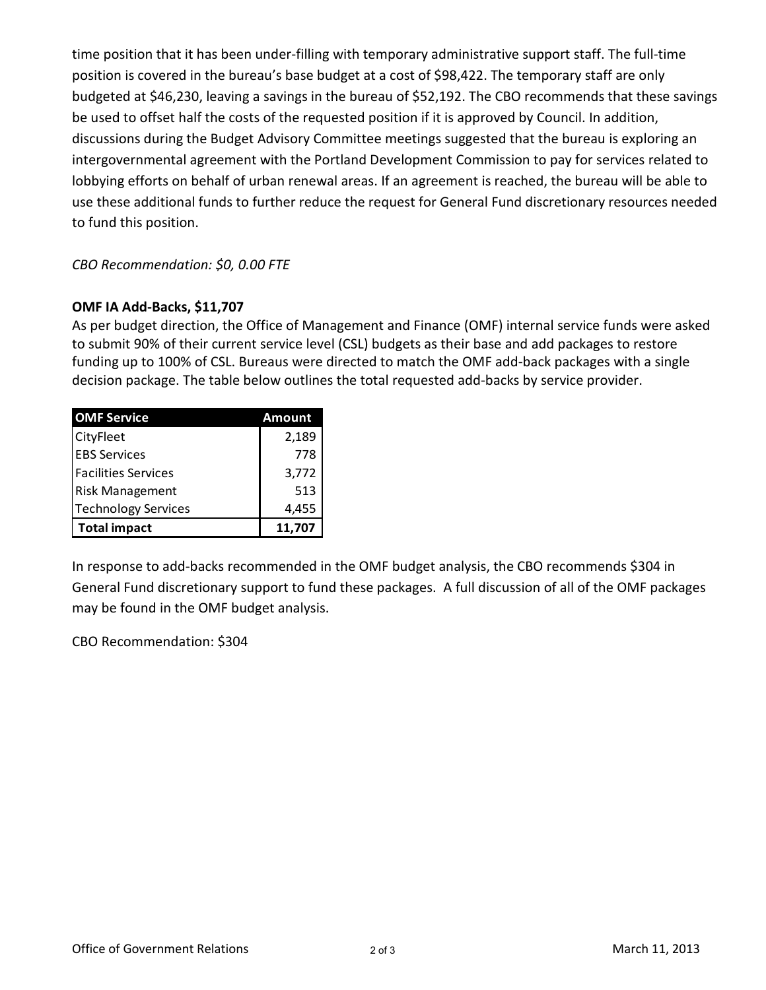time position that it has been under-filling with temporary administrative support staff. The full-time position is covered in the bureau's base budget at a cost of \$98,422. The temporary staff are only budgeted at \$46,230, leaving a savings in the bureau of \$52,192. The CBO recommends that these savings be used to offset half the costs of the requested position if it is approved by Council. In addition, discussions during the Budget Advisory Committee meetings suggested that the bureau is exploring an intergovernmental agreement with the Portland Development Commission to pay for services related to lobbying efforts on behalf of urban renewal areas. If an agreement is reached, the bureau will be able to use these additional funds to further reduce the request for General Fund discretionary resources needed to fund this position.

## *CBO Recommendation: \$0, 0.00 FTE*

#### **OMF IA Add-Backs, \$11,707**

As per budget direction, the Office of Management and Finance (OMF) internal service funds were asked to submit 90% of their current service level (CSL) budgets as their base and add packages to restore funding up to 100% of CSL. Bureaus were directed to match the OMF add-back packages with a single decision package. The table below outlines the total requested add-backs by service provider.

| <b>OMF Service</b>         | Amount |  |  |
|----------------------------|--------|--|--|
| CityFleet                  | 2,189  |  |  |
| <b>EBS Services</b>        | 778    |  |  |
| <b>Facilities Services</b> | 3,772  |  |  |
| <b>Risk Management</b>     | 513    |  |  |
| <b>Technology Services</b> | 4,455  |  |  |
| <b>Total impact</b>        | 11,707 |  |  |

In response to add-backs recommended in the OMF budget analysis, the CBO recommends \$304 in General Fund discretionary support to fund these packages. A full discussion of all of the OMF packages may be found in the OMF budget analysis.

CBO Recommendation: \$304